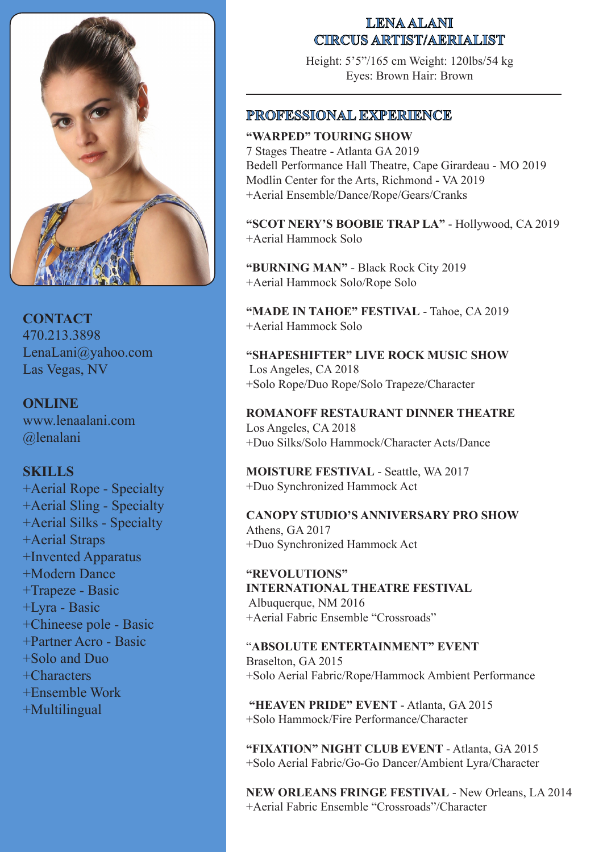

**CONTACT** 470.213.3898 LenaLani@yahoo.com Las Vegas, NV

**ONLINE** www.lenaalani.com @lenalani

# **SKILLS**

+Aerial Rope - Specialty +Aerial Sling - Specialty +Aerial Silks - Specialty +Aerial Straps +Invented Apparatus +Modern Dance +Trapeze - Basic +Lyra - Basic +Chineese pole - Basic +Partner Acro - Basic +Solo and Duo +Characters +Ensemble Work +Multilingual

# **LENA ALANI CIRCUS ARTIST/AERIALIST**

Height: 5'5"/165 cm Weight: 120lbs/54 kg Eyes: Brown Hair: Brown

# **PROFESSIONAL EXPERIENCE**

**"WARPED" TOURING SHOW** 7 Stages Theatre - Atlanta GA 2019 Bedell Performance Hall Theatre, Cape Girardeau - MO 2019 Modlin Center for the Arts, Richmond - VA 2019 +Aerial Ensemble/Dance/Rope/Gears/Cranks

**"SCOT NERY'S BOOBIE TRAP LA"** - Hollywood, CA 2019 +Aerial Hammock Solo

**"BURNING MAN"** - Black Rock City 2019 +Aerial Hammock Solo/Rope Solo

**"MADE IN TAHOE" FESTIVAL** - Tahoe, CA 2019 +Aerial Hammock Solo

**"SHAPESHIFTER" LIVE ROCK MUSIC SHOW** Los Angeles, CA 2018 +Solo Rope/Duo Rope/Solo Trapeze/Character

**ROMANOFF RESTAURANT DINNER THEATRE** Los Angeles, CA 2018 +Duo Silks/Solo Hammock/Character Acts/Dance

**MOISTURE FESTIVAL** - Seattle, WA 2017 +Duo Synchronized Hammock Act

**CANOPY STUDIO'S ANNIVERSARY PRO SHOW** Athens, GA 2017 +Duo Synchronized Hammock Act

**"REVOLUTIONS" INTERNATIONAL THEATRE FESTIVAL** Albuquerque, NM 2016 +Aerial Fabric Ensemble "Crossroads"

"**ABSOLUTE ENTERTAINMENT" EVENT** Braselton, GA 2015 +Solo Aerial Fabric/Rope/Hammock Ambient Performance

**"HEAVEN PRIDE" EVENT** - Atlanta, GA 2015 +Solo Hammock/Fire Performance/Character

**"FIXATION" NIGHT CLUB EVENT** - Atlanta, GA 2015 +Solo Aerial Fabric/Go-Go Dancer/Ambient Lyra/Character

**NEW ORLEANS FRINGE FESTIVAL** - New Orleans, LA 2014 +Aerial Fabric Ensemble "Crossroads"/Character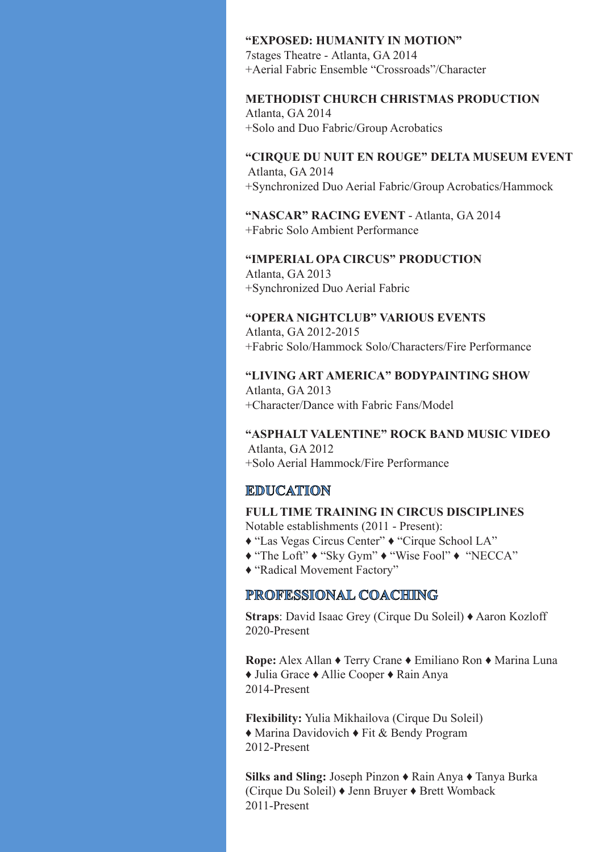#### **"EXPOSED: HUMANITY IN MOTION"**

7stages Theatre - Atlanta, GA 2014 +Aerial Fabric Ensemble "Crossroads"/Character

## **METHODIST CHURCH CHRISTMAS PRODUCTION**

Atlanta, GA 2014 +Solo and Duo Fabric/Group Acrobatics

## **"CIRQUE DU NUIT EN ROUGE" DELTA MUSEUM EVENT** Atlanta, GA 2014 +Synchronized Duo Aerial Fabric/Group Acrobatics/Hammock

**"NASCAR" RACING EVENT** - Atlanta, GA 2014 +Fabric Solo Ambient Performance

**"IMPERIAL OPA CIRCUS" PRODUCTION** Atlanta, GA 2013 +Synchronized Duo Aerial Fabric

**"OPERA NIGHTCLUB" VARIOUS EVENTS** Atlanta, GA 2012-2015 +Fabric Solo/Hammock Solo/Characters/Fire Performance

**"LIVING ART AMERICA" BODYPAINTING SHOW** Atlanta, GA 2013 +Character/Dance with Fabric Fans/Model

**"ASPHALT VALENTINE" ROCK BAND MUSIC VIDEO** Atlanta, GA 2012 +Solo Aerial Hammock/Fire Performance

# **EDUCATION**

**FULL TIME TRAINING IN CIRCUS DISCIPLINES** Notable establishments (2011 - Present):

- ♦ "Las Vegas Circus Center" ♦ "Cirque School LA"
- ♦ "The Loft" ♦ "Sky Gym" ♦ "Wise Fool" ♦ "NECCA"
- ♦ "Radical Movement Factory"

# **PROFESSIONAL COACHING**

**Straps**: David Isaac Grey (Cirque Du Soleil) ♦ Aaron Kozloff 2020-Present

**Rope:** Alex Allan ♦ Terry Crane ♦ Emiliano Ron ♦ Marina Luna ♦ Julia Grace ♦ Allie Cooper ♦ Rain Anya 2014-Present

**Flexibility:** Yulia Mikhailova (Cirque Du Soleil) ♦ Marina Davidovich ♦ Fit & Bendy Program 2012-Present

**Silks and Sling:** Joseph Pinzon ♦ Rain Anya ♦ Tanya Burka (Cirque Du Soleil) ♦ Jenn Bruyer ♦ Brett Womback 2011-Present